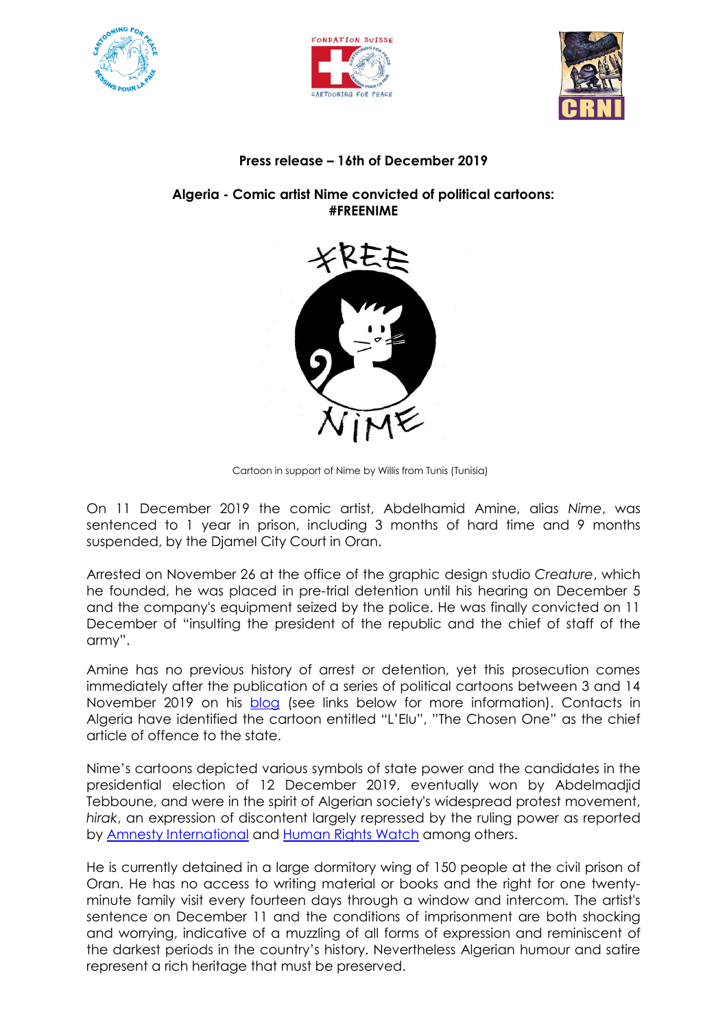





## **Press release – 16th of December 2019**

## **Algeria - Comic artist Nime convicted of political cartoons: #FREENIME**



Cartoon in support of Nime by Willis from Tunis (Tunisia)

On 11 December 2019 the comic artist, Abdelhamid Amine, alias *Nime*, was sentenced to 1 year in prison, including 3 months of hard time and 9 months suspended, by the Djamel City Court in Oran.

Arrested on November 26 at the office of the graphic design studio *Creature*, which he founded, he was placed in pre-trial detention until his hearing on December 5 and the company's equipment seized by the police. He was finally convicted on 11 December of "insulting the president of the republic and the chief of staff of the army".

Amine has no previous history of arrest or detention, yet this prosecution comes immediately after the publication of a series of political cartoons between 3 and 14 November 2019 on his [blog](http://nime-dansmabulle.blogspot.com/) (see links below for more information). Contacts in Algeria have identified the cartoon entitled "L'Elu", "The Chosen One" as the chief article of offence to the state.

Nime's cartoons depicted various symbols of state power and the candidates in the presidential election of 12 December 2019, eventually won by Abdelmadjid Tebboune, and were in the spirit of Algerian society's widespread protest movement, *hirak*, an expression of discontent largely repressed by the ruling power as reported by **Amnesty International and [Human Rights Watch](https://www.hrw.org/news/2019/11/14/algeria-escalating-repression-protesters) among others.** 

He is currently detained in a large dormitory wing of 150 people at the civil prison of Oran. He has no access to writing material or books and the right for one twentyminute family visit every fourteen days through a window and intercom. The artist's sentence on December 11 and the conditions of imprisonment are both shocking and worrying, indicative of a muzzling of all forms of expression and reminiscent of the darkest periods in the country's history. Nevertheless Algerian humour and satire represent a rich heritage that must be preserved.